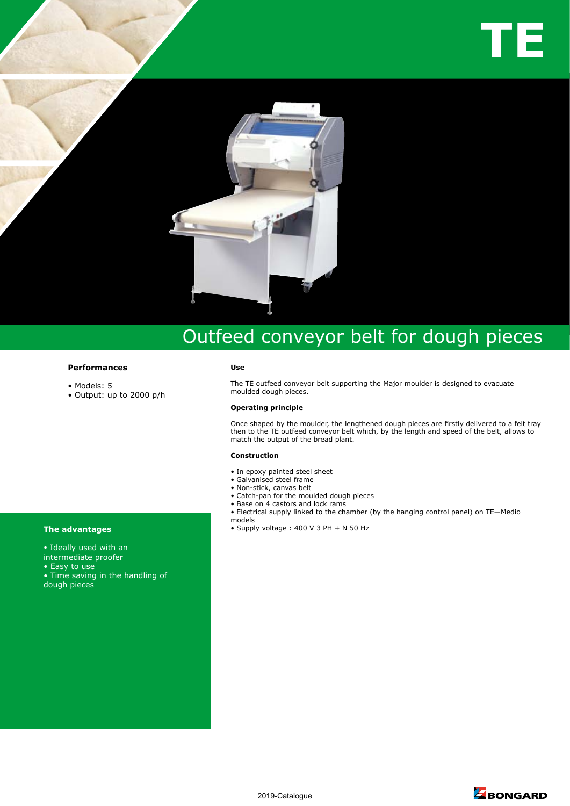

# Outfeed conveyor belt for dough pieces

## **Performances**

- Models: 5
- Output: up to 2000 p/h

#### **Use**

The TE outfeed conveyor belt supporting the Major moulder is designed to evacuate moulded dough pieces.

### **Operating principle**

Once shaped by the moulder, the lengthened dough pieces are firstly delivered to a felt tray then to the TE outfeed conveyor belt which, by the length and speed of the belt, allows to match the output of the bread plant.

#### **Construction**

- In epoxy painted steel sheet
- Galvanised steel frame
- Non-stick, canvas belt
- Catch-pan for the moulded dough pieces
- Base on 4 castors and lock rams • Electrical supply linked to the chamber (by the hanging control panel) on TE—Medio
- models
- **The advantages Supply voltage : 400 V 3 PH + N 50 Hz**

- Ideally used with an
- intermediate proofer
- Easy to use
- Time saving in the handling of
- dough pieces